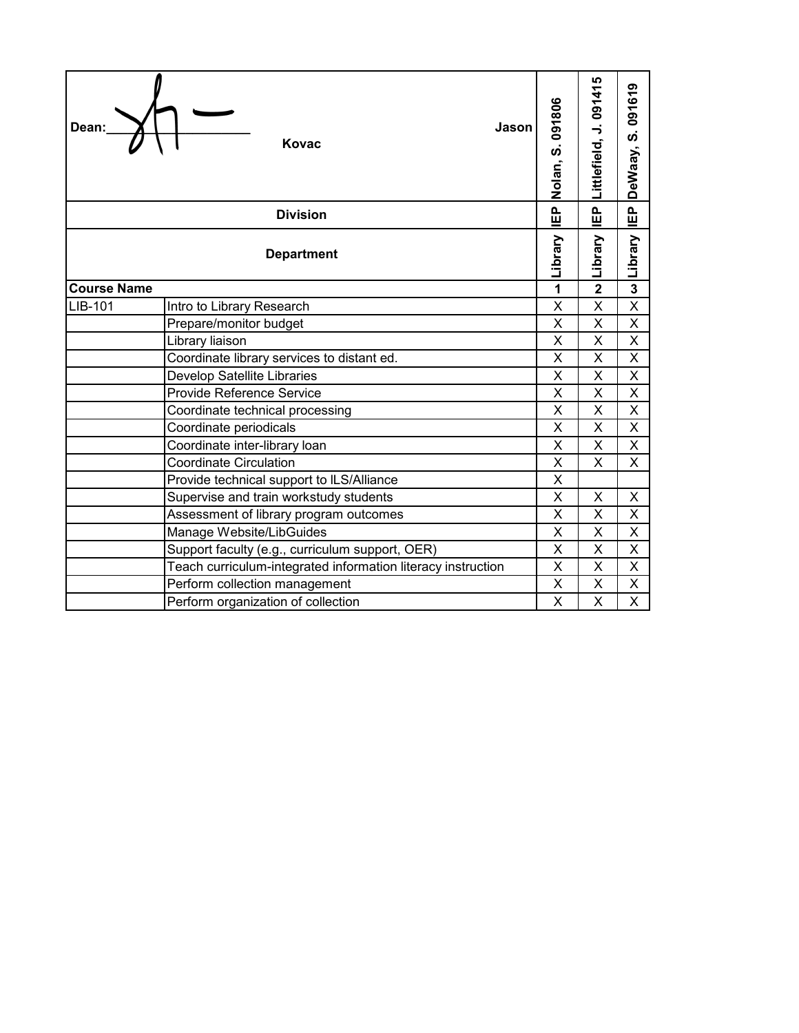| Dean:              | Jason<br>Kovac                                               | Nolan, S. 091806        | Littlefield, J. 091415   | S.091619<br>DeWaay,     |
|--------------------|--------------------------------------------------------------|-------------------------|--------------------------|-------------------------|
|                    | <b>Division</b>                                              | 。<br>巴                  | $\mathbf{\underline{a}}$ | $\mathbf{E}$            |
|                    | <b>Department</b>                                            | Library                 | Library                  | Library                 |
| <b>Course Name</b> |                                                              | 1                       | $\overline{2}$           | 3                       |
| LIB-101            | Intro to Library Research                                    | X                       | X                        | X                       |
|                    | Prepare/monitor budget                                       | X                       | X                        | X                       |
|                    | Library liaison                                              | X                       | X                        | X                       |
|                    | Coordinate library services to distant ed.                   | X                       | X                        | X                       |
|                    | Develop Satellite Libraries                                  | X                       | X                        | X                       |
|                    | Provide Reference Service                                    | X                       | X                        | X                       |
|                    | Coordinate technical processing                              | X                       | X                        | X                       |
|                    | Coordinate periodicals                                       | X                       | X                        | X                       |
|                    | Coordinate inter-library loan                                | $\overline{\mathsf{x}}$ | $\overline{\mathsf{x}}$  | $\overline{\mathsf{x}}$ |
|                    | <b>Coordinate Circulation</b>                                | X                       | X                        | X.                      |
|                    | Provide technical support to ILS/Alliance                    | $\times$                |                          |                         |
|                    | Supervise and train workstudy students                       | X                       | X                        | X                       |
|                    | Assessment of library program outcomes                       | X                       | X                        | X                       |
|                    | Manage Website/LibGuides                                     | X                       | X                        | X                       |
|                    | Support faculty (e.g., curriculum support, OER)              | X                       | X                        | X                       |
|                    | Teach curriculum-integrated information literacy instruction | X                       | X                        | X                       |
|                    | Perform collection management                                | X                       | X                        | X                       |
|                    | Perform organization of collection                           | X                       | X                        | X                       |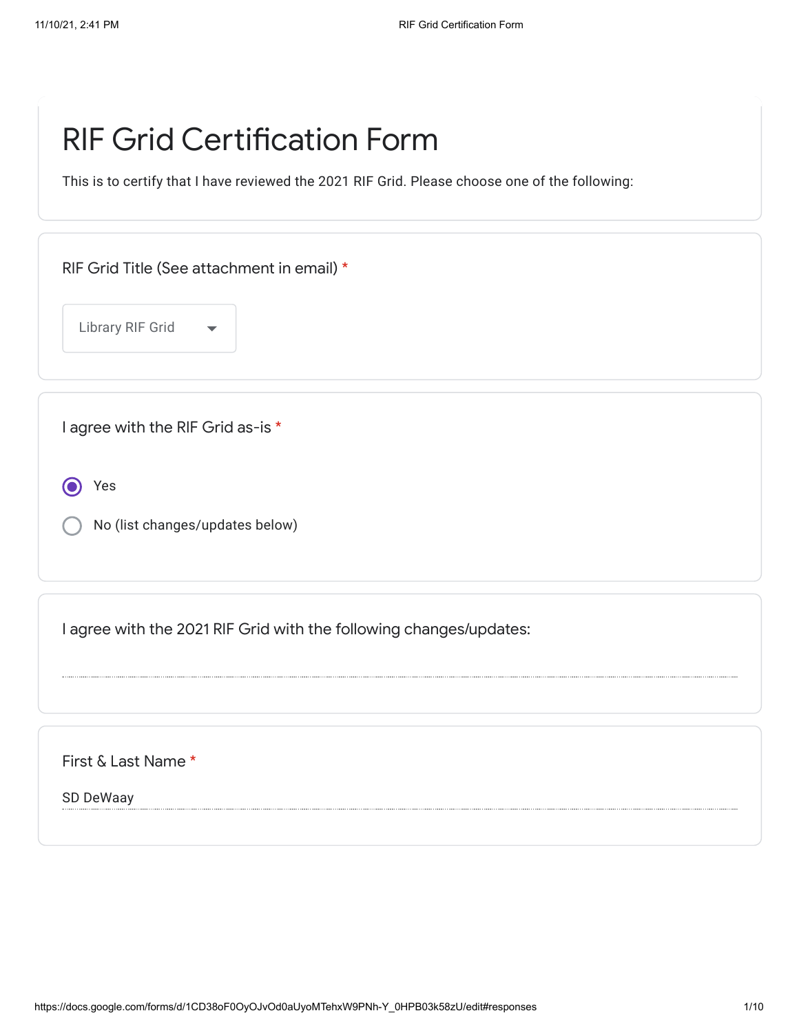## RIF Grid Certification Form

This is to certify that I have reviewed the 2021 RIF Grid. Please choose one of the following:

RIF Grid Title (See attachment in email) \*

Library RIF Grid

I agree with the RIF Grid as-is \*

Yes 0

No (list changes/updates below)

I agree with the 2021 RIF Grid with the following changes/updates:

First & Last Name \*

SD DeWaay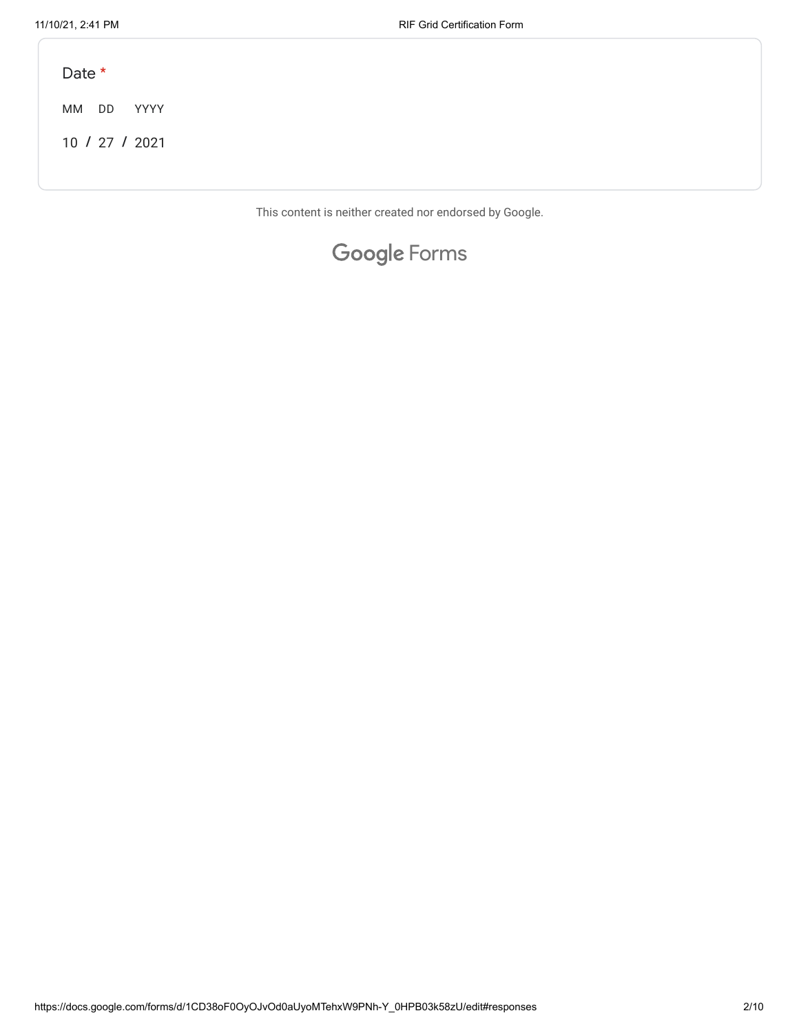Date \*

MM DD YYYY

**/ /** 10 27 2021

This content is neither created nor endorsed by Google.

## Google [Forms](https://www.google.com/forms/about/?utm_source=product&utm_medium=forms_logo&utm_campaign=forms)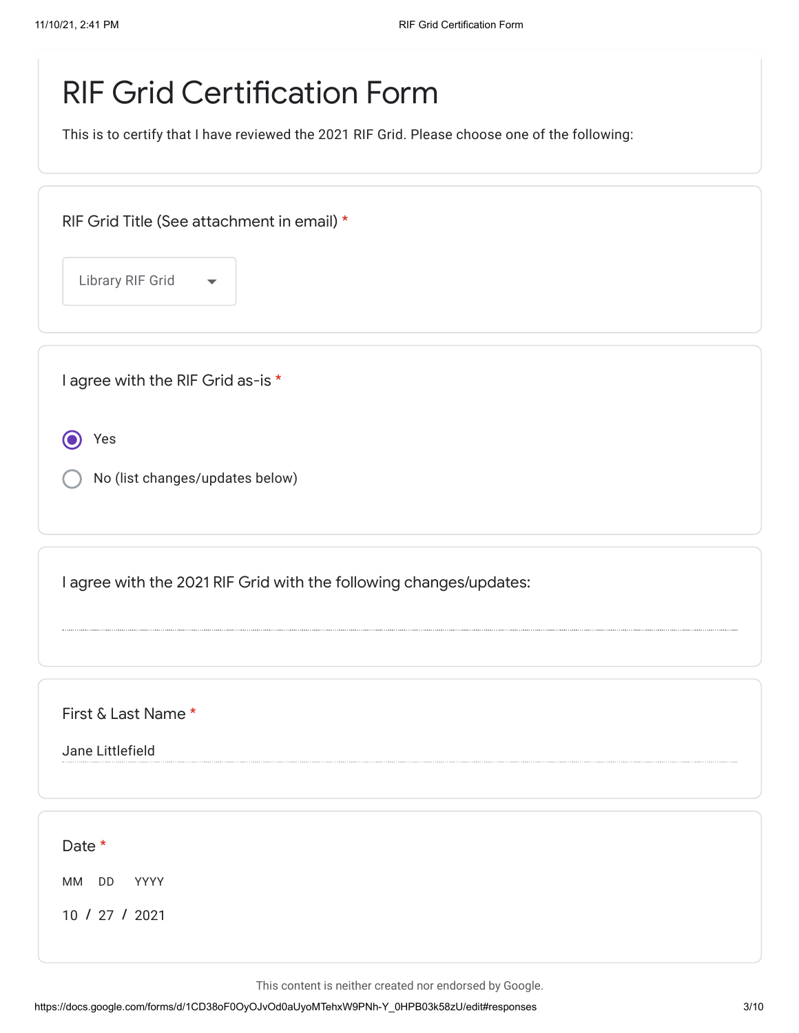## RIF Grid Certification Form

This is to certify that I have reviewed the 2021 RIF Grid. Please choose one of the following:

|  | RIF Grid Title (See attachment in email) * |  |
|--|--------------------------------------------|--|
|--|--------------------------------------------|--|

Library RIF Grid

I agree with the RIF Grid as-is \*

Yes

No (list changes/updates below)

I agree with the 2021 RIF Grid with the following changes/updates:

First & Last Name \*

Jane Littlefield

Date \*

MM DD YYYY

**/ /** 10 27 2021

This content is neither created nor endorsed by Google.